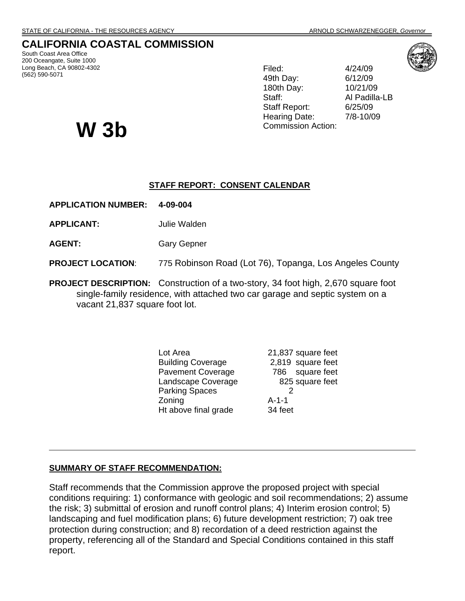# **CALIFORNIA COASTAL COMMISSION**

South Coast Area Office 200 Oceangate, Suite 1000 Long Beach, CA 90802-4302 (562) 590-5071

Filed: 4/24/09 49th Day: 6/12/09 180th Day: 10/21/09 Staff: Al Padilla-LB Staff Report: 6/25/09 Hearing Date: 7/8-10/09 W 3b **Commission Action:** 



#### **STAFF REPORT: CONSENT CALENDAR**

- **APPLICATION NUMBER: 4-09-004**
- **APPLICANT:** Julie Walden
- **AGENT:** Gary Gepner

**PROJECT LOCATION:** 775 Robinson Road (Lot 76), Topanga, Los Angeles County

**PROJECT DESCRIPTION:** Construction of a two-story, 34 foot high, 2,670 square foot single-family residence, with attached two car garage and septic system on a vacant 21,837 square foot lot.

> Lot Area 21,837 square feet Building Coverage 2,819 square feet Pavement Coverage 786 square feet Landscape Coverage 825 square feet Parking Spaces 2 Zoning A-1-1 Ht above final grade 34 feet

#### **SUMMARY OF STAFF RECOMMENDATION:**

Staff recommends that the Commission approve the proposed project with special conditions requiring: 1) conformance with geologic and soil recommendations; 2) assume the risk; 3) submittal of erosion and runoff control plans; 4) Interim erosion control; 5) landscaping and fuel modification plans; 6) future development restriction; 7) oak tree protection during construction; and 8) recordation of a deed restriction against the property, referencing all of the Standard and Special Conditions contained in this staff report.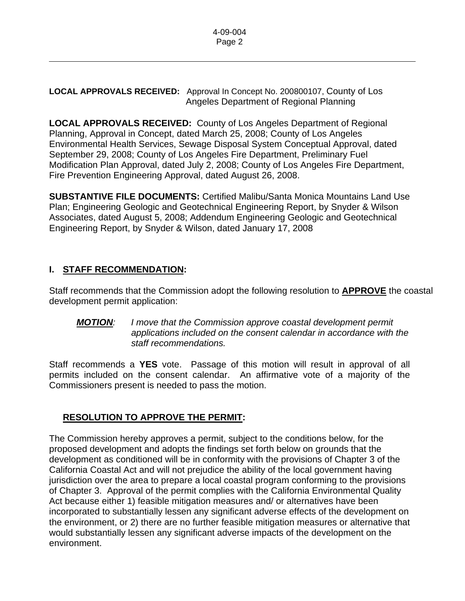#### **LOCAL APPROVALS RECEIVED:** Approval In Concept No. 200800107, County of Los Angeles Department of Regional Planning

**LOCAL APPROVALS RECEIVED:** County of Los Angeles Department of Regional Planning, Approval in Concept, dated March 25, 2008; County of Los Angeles Environmental Health Services, Sewage Disposal System Conceptual Approval, dated September 29, 2008; County of Los Angeles Fire Department, Preliminary Fuel Modification Plan Approval, dated July 2, 2008; County of Los Angeles Fire Department, Fire Prevention Engineering Approval, dated August 26, 2008.

**SUBSTANTIVE FILE DOCUMENTS:** Certified Malibu/Santa Monica Mountains Land Use Plan; Engineering Geologic and Geotechnical Engineering Report, by Snyder & Wilson Associates, dated August 5, 2008; Addendum Engineering Geologic and Geotechnical Engineering Report, by Snyder & Wilson, dated January 17, 2008

# **I. STAFF RECOMMENDATION:**

Staff recommends that the Commission adopt the following resolution to **APPROVE** the coastal development permit application:

*MOTION: I move that the Commission approve coastal development permit applications included on the consent calendar in accordance with the staff recommendations.* 

Staff recommends a **YES** vote. Passage of this motion will result in approval of all permits included on the consent calendar. An affirmative vote of a majority of the Commissioners present is needed to pass the motion.

# **RESOLUTION TO APPROVE THE PERMIT:**

The Commission hereby approves a permit, subject to the conditions below, for the proposed development and adopts the findings set forth below on grounds that the development as conditioned will be in conformity with the provisions of Chapter 3 of the California Coastal Act and will not prejudice the ability of the local government having jurisdiction over the area to prepare a local coastal program conforming to the provisions of Chapter 3. Approval of the permit complies with the California Environmental Quality Act because either 1) feasible mitigation measures and/ or alternatives have been incorporated to substantially lessen any significant adverse effects of the development on the environment, or 2) there are no further feasible mitigation measures or alternative that would substantially lessen any significant adverse impacts of the development on the environment.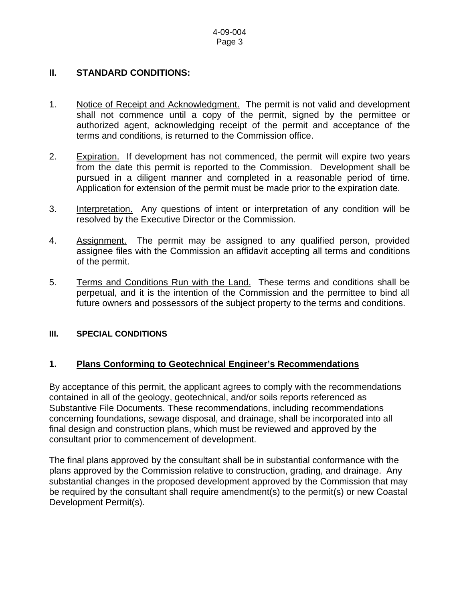# **II. STANDARD CONDITIONS:**

- 1. Notice of Receipt and Acknowledgment. The permit is not valid and development shall not commence until a copy of the permit, signed by the permittee or authorized agent, acknowledging receipt of the permit and acceptance of the terms and conditions, is returned to the Commission office.
- 2. Expiration. If development has not commenced, the permit will expire two years from the date this permit is reported to the Commission. Development shall be pursued in a diligent manner and completed in a reasonable period of time. Application for extension of the permit must be made prior to the expiration date.
- 3. Interpretation. Any questions of intent or interpretation of any condition will be resolved by the Executive Director or the Commission.
- 4. Assignment. The permit may be assigned to any qualified person, provided assignee files with the Commission an affidavit accepting all terms and conditions of the permit.
- 5. Terms and Conditions Run with the Land. These terms and conditions shall be perpetual, and it is the intention of the Commission and the permittee to bind all future owners and possessors of the subject property to the terms and conditions.

#### **III. SPECIAL CONDITIONS**

#### **1. Plans Conforming to Geotechnical Engineer's Recommendations**

By acceptance of this permit, the applicant agrees to comply with the recommendations contained in all of the geology, geotechnical, and/or soils reports referenced as Substantive File Documents. These recommendations, including recommendations concerning foundations, sewage disposal, and drainage, shall be incorporated into all final design and construction plans, which must be reviewed and approved by the consultant prior to commencement of development.

The final plans approved by the consultant shall be in substantial conformance with the plans approved by the Commission relative to construction, grading, and drainage. Any substantial changes in the proposed development approved by the Commission that may be required by the consultant shall require amendment(s) to the permit(s) or new Coastal Development Permit(s).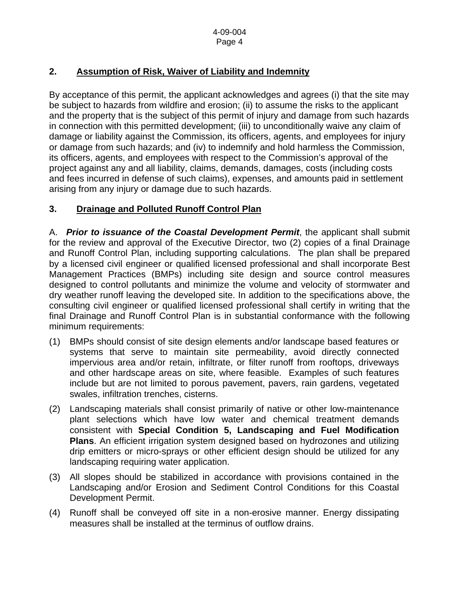# **2. Assumption of Risk, Waiver of Liability and Indemnity**

By acceptance of this permit, the applicant acknowledges and agrees (i) that the site may be subject to hazards from wildfire and erosion; (ii) to assume the risks to the applicant and the property that is the subject of this permit of injury and damage from such hazards in connection with this permitted development; (iii) to unconditionally waive any claim of damage or liability against the Commission, its officers, agents, and employees for injury or damage from such hazards; and (iv) to indemnify and hold harmless the Commission, its officers, agents, and employees with respect to the Commission's approval of the project against any and all liability, claims, demands, damages, costs (including costs and fees incurred in defense of such claims), expenses, and amounts paid in settlement arising from any injury or damage due to such hazards.

# **3. Drainage and Polluted Runoff Control Plan**

A. *Prior to issuance of the Coastal Development Permit*, the applicant shall submit for the review and approval of the Executive Director, two (2) copies of a final Drainage and Runoff Control Plan, including supporting calculations. The plan shall be prepared by a licensed civil engineer or qualified licensed professional and shall incorporate Best Management Practices (BMPs) including site design and source control measures designed to control pollutants and minimize the volume and velocity of stormwater and dry weather runoff leaving the developed site. In addition to the specifications above, the consulting civil engineer or qualified licensed professional shall certify in writing that the final Drainage and Runoff Control Plan is in substantial conformance with the following minimum requirements:

- (1) BMPs should consist of site design elements and/or landscape based features or systems that serve to maintain site permeability, avoid directly connected impervious area and/or retain, infiltrate, or filter runoff from rooftops, driveways and other hardscape areas on site, where feasible. Examples of such features include but are not limited to porous pavement, pavers, rain gardens, vegetated swales, infiltration trenches, cisterns.
- (2) Landscaping materials shall consist primarily of native or other low-maintenance plant selections which have low water and chemical treatment demands consistent with **Special Condition 5, Landscaping and Fuel Modification Plans**. An efficient irrigation system designed based on hydrozones and utilizing drip emitters or micro-sprays or other efficient design should be utilized for any landscaping requiring water application.
- (3) All slopes should be stabilized in accordance with provisions contained in the Landscaping and/or Erosion and Sediment Control Conditions for this Coastal Development Permit.
- (4) Runoff shall be conveyed off site in a non-erosive manner. Energy dissipating measures shall be installed at the terminus of outflow drains.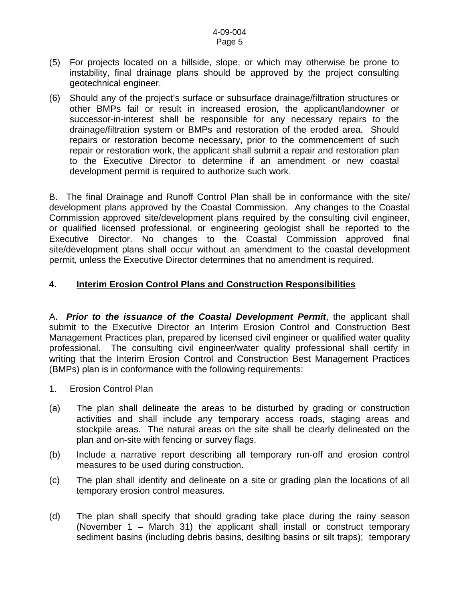- (5) For projects located on a hillside, slope, or which may otherwise be prone to instability, final drainage plans should be approved by the project consulting geotechnical engineer.
- (6) Should any of the project's surface or subsurface drainage/filtration structures or other BMPs fail or result in increased erosion, the applicant/landowner or successor-in-interest shall be responsible for any necessary repairs to the drainage/filtration system or BMPs and restoration of the eroded area. Should repairs or restoration become necessary, prior to the commencement of such repair or restoration work, the applicant shall submit a repair and restoration plan to the Executive Director to determine if an amendment or new coastal development permit is required to authorize such work.

B. The final Drainage and Runoff Control Plan shall be in conformance with the site/ development plans approved by the Coastal Commission. Any changes to the Coastal Commission approved site/development plans required by the consulting civil engineer, or qualified licensed professional, or engineering geologist shall be reported to the Executive Director. No changes to the Coastal Commission approved final site/development plans shall occur without an amendment to the coastal development permit, unless the Executive Director determines that no amendment is required.

## **4. Interim Erosion Control Plans and Construction Responsibilities**

A. *Prior to the issuance of the Coastal Development Permit*, the applicant shall submit to the Executive Director an Interim Erosion Control and Construction Best Management Practices plan, prepared by licensed civil engineer or qualified water quality professional. The consulting civil engineer/water quality professional shall certify in writing that the Interim Erosion Control and Construction Best Management Practices (BMPs) plan is in conformance with the following requirements:

- 1. Erosion Control Plan
- (a) The plan shall delineate the areas to be disturbed by grading or construction activities and shall include any temporary access roads, staging areas and stockpile areas. The natural areas on the site shall be clearly delineated on the plan and on-site with fencing or survey flags.
- (b) Include a narrative report describing all temporary run-off and erosion control measures to be used during construction.
- (c) The plan shall identify and delineate on a site or grading plan the locations of all temporary erosion control measures.
- (d) The plan shall specify that should grading take place during the rainy season (November 1 – March 31) the applicant shall install or construct temporary sediment basins (including debris basins, desilting basins or silt traps); temporary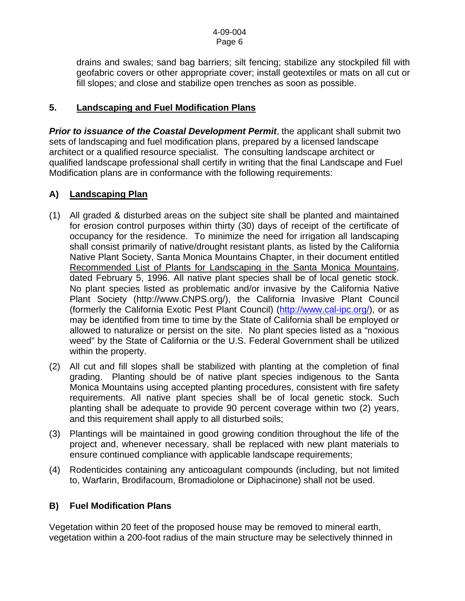drains and swales; sand bag barriers; silt fencing; stabilize any stockpiled fill with geofabric covers or other appropriate cover; install geotextiles or mats on all cut or fill slopes; and close and stabilize open trenches as soon as possible.

## **5. Landscaping and Fuel Modification Plans**

*Prior to issuance of the Coastal Development Permit*, the applicant shall submit two sets of landscaping and fuel modification plans, prepared by a licensed landscape architect or a qualified resource specialist. The consulting landscape architect or qualified landscape professional shall certify in writing that the final Landscape and Fuel Modification plans are in conformance with the following requirements:

## **A) Landscaping Plan**

- (1) All graded & disturbed areas on the subject site shall be planted and maintained for erosion control purposes within thirty (30) days of receipt of the certificate of occupancy for the residence. To minimize the need for irrigation all landscaping shall consist primarily of native/drought resistant plants, as listed by the California Native Plant Society, Santa Monica Mountains Chapter, in their document entitled Recommended List of Plants for Landscaping in the Santa Monica Mountains, dated February 5, 1996. All native plant species shall be of local genetic stock. No plant species listed as problematic and/or invasive by the California Native Plant Society ([http://www.CNPS.org/](http://www.cnps.org/)), the California Invasive Plant Council (formerly the California Exotic Pest Plant Council) [\(http://www.cal-ipc.org/](http://www.cal-ipc.org/)), or as may be identified from time to time by the State of California shall be employed or allowed to naturalize or persist on the site. No plant species listed as a "noxious weed" by the State of California or the U.S. Federal Government shall be utilized within the property.
- (2) All cut and fill slopes shall be stabilized with planting at the completion of final grading. Planting should be of native plant species indigenous to the Santa Monica Mountains using accepted planting procedures, consistent with fire safety requirements. All native plant species shall be of local genetic stock. Such planting shall be adequate to provide 90 percent coverage within two (2) years, and this requirement shall apply to all disturbed soils;
- (3) Plantings will be maintained in good growing condition throughout the life of the project and, whenever necessary, shall be replaced with new plant materials to ensure continued compliance with applicable landscape requirements;
- (4) Rodenticides containing any anticoagulant compounds (including, but not limited to, Warfarin, Brodifacoum, Bromadiolone or Diphacinone) shall not be used.

# **B) Fuel Modification Plans**

Vegetation within 20 feet of the proposed house may be removed to mineral earth, vegetation within a 200-foot radius of the main structure may be selectively thinned in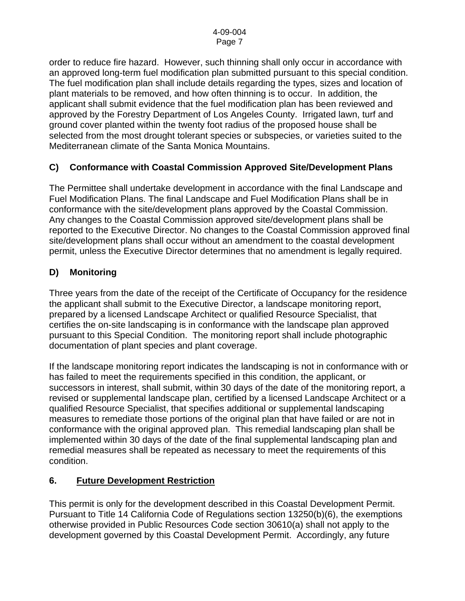order to reduce fire hazard. However, such thinning shall only occur in accordance with an approved long-term fuel modification plan submitted pursuant to this special condition. The fuel modification plan shall include details regarding the types, sizes and location of plant materials to be removed, and how often thinning is to occur. In addition, the applicant shall submit evidence that the fuel modification plan has been reviewed and approved by the Forestry Department of Los Angeles County. Irrigated lawn, turf and ground cover planted within the twenty foot radius of the proposed house shall be selected from the most drought tolerant species or subspecies, or varieties suited to the Mediterranean climate of the Santa Monica Mountains.

## **C) Conformance with Coastal Commission Approved Site/Development Plans**

The Permittee shall undertake development in accordance with the final Landscape and Fuel Modification Plans. The final Landscape and Fuel Modification Plans shall be in conformance with the site/development plans approved by the Coastal Commission. Any changes to the Coastal Commission approved site/development plans shall be reported to the Executive Director. No changes to the Coastal Commission approved final site/development plans shall occur without an amendment to the coastal development permit, unless the Executive Director determines that no amendment is legally required.

# **D) Monitoring**

Three years from the date of the receipt of the Certificate of Occupancy for the residence the applicant shall submit to the Executive Director, a landscape monitoring report, prepared by a licensed Landscape Architect or qualified Resource Specialist, that certifies the on-site landscaping is in conformance with the landscape plan approved pursuant to this Special Condition. The monitoring report shall include photographic documentation of plant species and plant coverage.

If the landscape monitoring report indicates the landscaping is not in conformance with or has failed to meet the requirements specified in this condition, the applicant, or successors in interest, shall submit, within 30 days of the date of the monitoring report, a revised or supplemental landscape plan, certified by a licensed Landscape Architect or a qualified Resource Specialist, that specifies additional or supplemental landscaping measures to remediate those portions of the original plan that have failed or are not in conformance with the original approved plan. This remedial landscaping plan shall be implemented within 30 days of the date of the final supplemental landscaping plan and remedial measures shall be repeated as necessary to meet the requirements of this condition.

#### **6. Future Development Restriction**

This permit is only for the development described in this Coastal Development Permit. Pursuant to Title 14 California Code of Regulations section 13250(b)(6), the exemptions otherwise provided in Public Resources Code section 30610(a) shall not apply to the development governed by this Coastal Development Permit. Accordingly, any future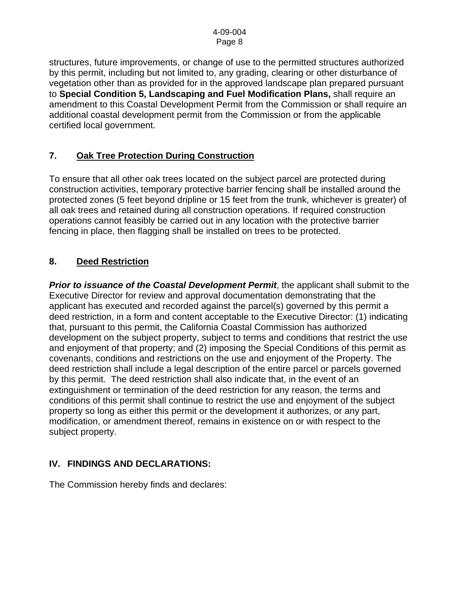structures, future improvements, or change of use to the permitted structures authorized by this permit, including but not limited to, any grading, clearing or other disturbance of vegetation other than as provided for in the approved landscape plan prepared pursuant to **Special Condition 5, Landscaping and Fuel Modification Plans,** shall require an amendment to this Coastal Development Permit from the Commission or shall require an additional coastal development permit from the Commission or from the applicable certified local government.

# **7. Oak Tree Protection During Construction**

To ensure that all other oak trees located on the subject parcel are protected during construction activities, temporary protective barrier fencing shall be installed around the protected zones (5 feet beyond dripline or 15 feet from the trunk, whichever is greater) of all oak trees and retained during all construction operations. If required construction operations cannot feasibly be carried out in any location with the protective barrier fencing in place, then flagging shall be installed on trees to be protected.

# **8. Deed Restriction**

*Prior to issuance of the Coastal Development Permit*, the applicant shall submit to the Executive Director for review and approval documentation demonstrating that the applicant has executed and recorded against the parcel(s) governed by this permit a deed restriction, in a form and content acceptable to the Executive Director: (1) indicating that, pursuant to this permit, the California Coastal Commission has authorized development on the subject property, subject to terms and conditions that restrict the use and enjoyment of that property; and (2) imposing the Special Conditions of this permit as covenants, conditions and restrictions on the use and enjoyment of the Property. The deed restriction shall include a legal description of the entire parcel or parcels governed by this permit. The deed restriction shall also indicate that, in the event of an extinguishment or termination of the deed restriction for any reason, the terms and conditions of this permit shall continue to restrict the use and enjoyment of the subject property so long as either this permit or the development it authorizes, or any part, modification, or amendment thereof, remains in existence on or with respect to the subject property.

# **IV. FINDINGS AND DECLARATIONS:**

The Commission hereby finds and declares: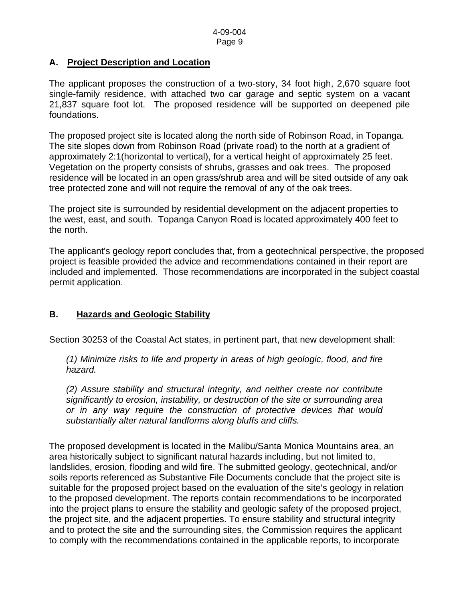## **A. Project Description and Location**

The applicant proposes the construction of a two-story, 34 foot high, 2,670 square foot single-family residence, with attached two car garage and septic system on a vacant 21,837 square foot lot. The proposed residence will be supported on deepened pile foundations.

The proposed project site is located along the north side of Robinson Road, in Topanga. The site slopes down from Robinson Road (private road) to the north at a gradient of approximately 2:1(horizontal to vertical), for a vertical height of approximately 25 feet. Vegetation on the property consists of shrubs, grasses and oak trees. The proposed residence will be located in an open grass/shrub area and will be sited outside of any oak tree protected zone and will not require the removal of any of the oak trees.

The project site is surrounded by residential development on the adjacent properties to the west, east, and south. Topanga Canyon Road is located approximately 400 feet to the north.

The applicant's geology report concludes that, from a geotechnical perspective, the proposed project is feasible provided the advice and recommendations contained in their report are included and implemented. Those recommendations are incorporated in the subject coastal permit application.

# **B. Hazards and Geologic Stability**

Section 30253 of the Coastal Act states, in pertinent part, that new development shall:

*(1) Minimize risks to life and property in areas of high geologic, flood, and fire hazard.* 

*(2) Assure stability and structural integrity, and neither create nor contribute significantly to erosion, instability, or destruction of the site or surrounding area or in any way require the construction of protective devices that would substantially alter natural landforms along bluffs and cliffs.* 

The proposed development is located in the Malibu/Santa Monica Mountains area, an area historically subject to significant natural hazards including, but not limited to, landslides, erosion, flooding and wild fire. The submitted geology, geotechnical, and/or soils reports referenced as Substantive File Documents conclude that the project site is suitable for the proposed project based on the evaluation of the site's geology in relation to the proposed development. The reports contain recommendations to be incorporated into the project plans to ensure the stability and geologic safety of the proposed project, the project site, and the adjacent properties. To ensure stability and structural integrity and to protect the site and the surrounding sites, the Commission requires the applicant to comply with the recommendations contained in the applicable reports, to incorporate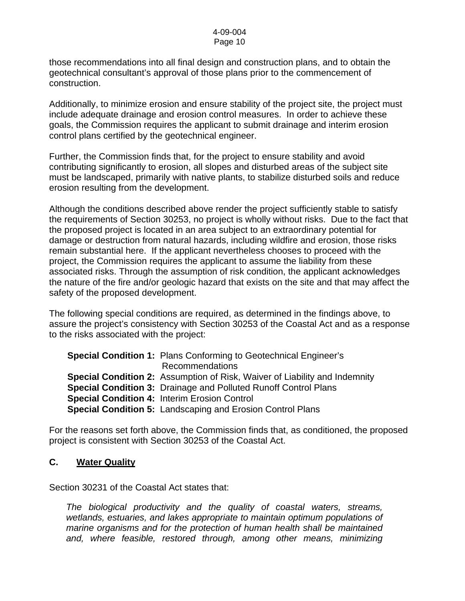those recommendations into all final design and construction plans, and to obtain the geotechnical consultant's approval of those plans prior to the commencement of construction.

Additionally, to minimize erosion and ensure stability of the project site, the project must include adequate drainage and erosion control measures. In order to achieve these goals, the Commission requires the applicant to submit drainage and interim erosion control plans certified by the geotechnical engineer.

Further, the Commission finds that, for the project to ensure stability and avoid contributing significantly to erosion, all slopes and disturbed areas of the subject site must be landscaped, primarily with native plants, to stabilize disturbed soils and reduce erosion resulting from the development.

Although the conditions described above render the project sufficiently stable to satisfy the requirements of Section 30253, no project is wholly without risks. Due to the fact that the proposed project is located in an area subject to an extraordinary potential for damage or destruction from natural hazards, including wildfire and erosion, those risks remain substantial here. If the applicant nevertheless chooses to proceed with the project, the Commission requires the applicant to assume the liability from these associated risks. Through the assumption of risk condition, the applicant acknowledges the nature of the fire and/or geologic hazard that exists on the site and that may affect the safety of the proposed development.

The following special conditions are required, as determined in the findings above, to assure the project's consistency with Section 30253 of the Coastal Act and as a response to the risks associated with the project:

| <b>Special Condition 1:</b> Plans Conforming to Geotechnical Engineer's           |
|-----------------------------------------------------------------------------------|
| <b>Recommendations</b>                                                            |
| <b>Special Condition 2:</b> Assumption of Risk, Waiver of Liability and Indemnity |
| <b>Special Condition 3: Drainage and Polluted Runoff Control Plans</b>            |
| <b>Special Condition 4: Interim Erosion Control</b>                               |
| <b>Special Condition 5:</b> Landscaping and Erosion Control Plans                 |

For the reasons set forth above, the Commission finds that, as conditioned, the proposed project is consistent with Section 30253 of the Coastal Act.

#### **C. Water Quality**

Section 30231 of the Coastal Act states that:

*The biological productivity and the quality of coastal waters, streams, wetlands, estuaries, and lakes appropriate to maintain optimum populations of marine organisms and for the protection of human health shall be maintained and, where feasible, restored through, among other means, minimizing*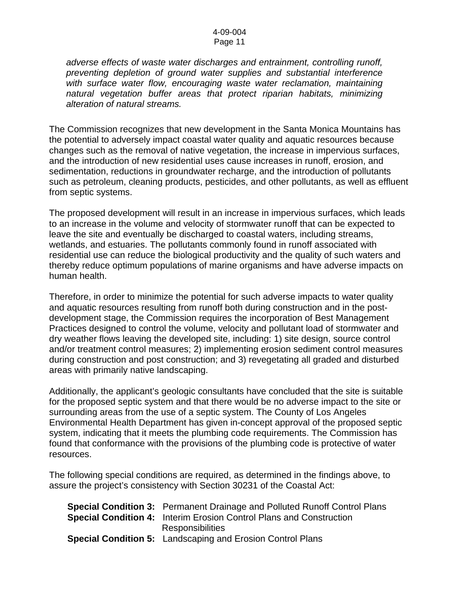*adverse effects of waste water discharges and entrainment, controlling runoff, preventing depletion of ground water supplies and substantial interference with surface water flow, encouraging waste water reclamation, maintaining natural vegetation buffer areas that protect riparian habitats, minimizing alteration of natural streams.* 

The Commission recognizes that new development in the Santa Monica Mountains has the potential to adversely impact coastal water quality and aquatic resources because changes such as the removal of native vegetation, the increase in impervious surfaces, and the introduction of new residential uses cause increases in runoff, erosion, and sedimentation, reductions in groundwater recharge, and the introduction of pollutants such as petroleum, cleaning products, pesticides, and other pollutants, as well as effluent from septic systems.

The proposed development will result in an increase in impervious surfaces, which leads to an increase in the volume and velocity of stormwater runoff that can be expected to leave the site and eventually be discharged to coastal waters, including streams, wetlands, and estuaries. The pollutants commonly found in runoff associated with residential use can reduce the biological productivity and the quality of such waters and thereby reduce optimum populations of marine organisms and have adverse impacts on human health.

Therefore, in order to minimize the potential for such adverse impacts to water quality and aquatic resources resulting from runoff both during construction and in the postdevelopment stage, the Commission requires the incorporation of Best Management Practices designed to control the volume, velocity and pollutant load of stormwater and dry weather flows leaving the developed site, including: 1) site design, source control and/or treatment control measures; 2) implementing erosion sediment control measures during construction and post construction; and 3) revegetating all graded and disturbed areas with primarily native landscaping.

Additionally, the applicant's geologic consultants have concluded that the site is suitable for the proposed septic system and that there would be no adverse impact to the site or surrounding areas from the use of a septic system. The County of Los Angeles Environmental Health Department has given in-concept approval of the proposed septic system, indicating that it meets the plumbing code requirements. The Commission has found that conformance with the provisions of the plumbing code is protective of water resources.

The following special conditions are required, as determined in the findings above, to assure the project's consistency with Section 30231 of the Coastal Act:

| <b>Special Condition 3:</b> Permanent Drainage and Polluted Runoff Control Plans |
|----------------------------------------------------------------------------------|
| <b>Special Condition 4:</b> Interim Erosion Control Plans and Construction       |
| Responsibilities                                                                 |
| <b>Special Condition 5:</b> Landscaping and Erosion Control Plans                |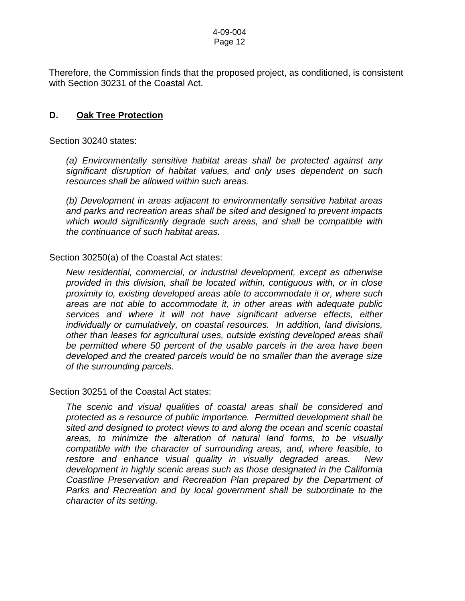Therefore, the Commission finds that the proposed project, as conditioned, is consistent with Section 30231 of the Coastal Act.

#### **D. Oak Tree Protection**

Section 30240 states:

*(a) Environmentally sensitive habitat areas shall be protected against any significant disruption of habitat values, and only uses dependent on such resources shall be allowed within such areas.* 

*(b) Development in areas adjacent to environmentally sensitive habitat areas and parks and recreation areas shall be sited and designed to prevent impacts which would significantly degrade such areas, and shall be compatible with the continuance of such habitat areas.* 

Section 30250(a) of the Coastal Act states:

*New residential, commercial, or industrial development, except as otherwise provided in this division, shall be located within, contiguous with, or in close proximity to, existing developed areas able to accommodate it or, where such areas are not able to accommodate it, in other areas with adequate public services and where it will not have significant adverse effects, either individually or cumulatively, on coastal resources. In addition, land divisions, other than leases for agricultural uses, outside existing developed areas shall be permitted where 50 percent of the usable parcels in the area have been developed and the created parcels would be no smaller than the average size of the surrounding parcels.* 

Section 30251 of the Coastal Act states:

*The scenic and visual qualities of coastal areas shall be considered and protected as a resource of public importance. Permitted development shall be sited and designed to protect views to and along the ocean and scenic coastal areas, to minimize the alteration of natural land forms, to be visually compatible with the character of surrounding areas, and, where feasible, to restore and enhance visual quality in visually degraded areas. New development in highly scenic areas such as those designated in the California Coastline Preservation and Recreation Plan prepared by the Department of Parks and Recreation and by local government shall be subordinate to the character of its setting.*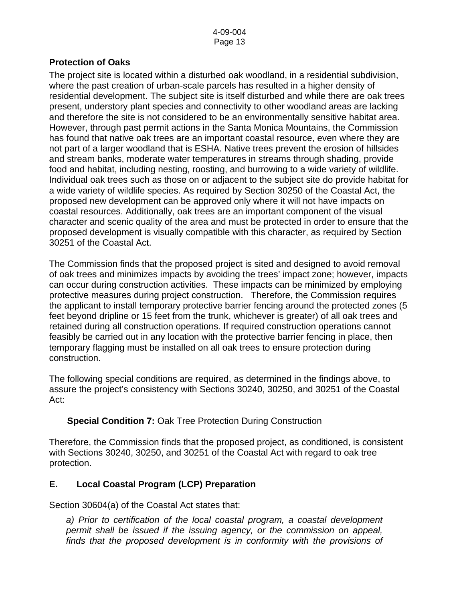# **Protection of Oaks**

The project site is located within a disturbed oak woodland, in a residential subdivision, where the past creation of urban-scale parcels has resulted in a higher density of residential development. The subject site is itself disturbed and while there are oak trees present, understory plant species and connectivity to other woodland areas are lacking and therefore the site is not considered to be an environmentally sensitive habitat area. However, through past permit actions in the Santa Monica Mountains, the Commission has found that native oak trees are an important coastal resource, even where they are not part of a larger woodland that is ESHA. Native trees prevent the erosion of hillsides and stream banks, moderate water temperatures in streams through shading, provide food and habitat, including nesting, roosting, and burrowing to a wide variety of wildlife. Individual oak trees such as those on or adjacent to the subject site do provide habitat for a wide variety of wildlife species. As required by Section 30250 of the Coastal Act, the proposed new development can be approved only where it will not have impacts on coastal resources. Additionally, oak trees are an important component of the visual character and scenic quality of the area and must be protected in order to ensure that the proposed development is visually compatible with this character, as required by Section 30251 of the Coastal Act.

The Commission finds that the proposed project is sited and designed to avoid removal of oak trees and minimizes impacts by avoiding the trees' impact zone; however, impacts can occur during construction activities. These impacts can be minimized by employing protective measures during project construction. Therefore, the Commission requires the applicant to install temporary protective barrier fencing around the protected zones (5 feet beyond dripline or 15 feet from the trunk, whichever is greater) of all oak trees and retained during all construction operations. If required construction operations cannot feasibly be carried out in any location with the protective barrier fencing in place, then temporary flagging must be installed on all oak trees to ensure protection during construction.

The following special conditions are required, as determined in the findings above, to assure the project's consistency with Sections 30240, 30250, and 30251 of the Coastal Act:

# **Special Condition 7:** Oak Tree Protection During Construction

Therefore, the Commission finds that the proposed project, as conditioned, is consistent with Sections 30240, 30250, and 30251 of the Coastal Act with regard to oak tree protection.

# **E. Local Coastal Program (LCP) Preparation**

Section 30604(a) of the Coastal Act states that:

a) Prior to certification of the local coastal program, a coastal development *permit shall be issued if the issuing agency, or the commission on appeal, finds that the proposed development is in conformity with the provisions of*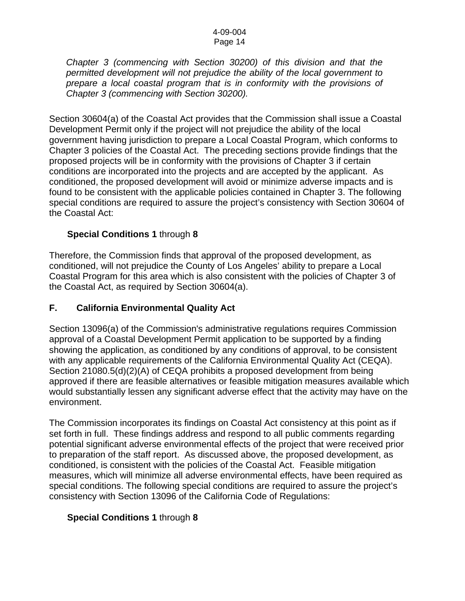*Chapter 3 (commencing with Section 30200) of this division and that the permitted development will not prejudice the ability of the local government to prepare a local coastal program that is in conformity with the provisions of Chapter 3 (commencing with Section 30200).* 

Section 30604(a) of the Coastal Act provides that the Commission shall issue a Coastal Development Permit only if the project will not prejudice the ability of the local government having jurisdiction to prepare a Local Coastal Program, which conforms to Chapter 3 policies of the Coastal Act. The preceding sections provide findings that the proposed projects will be in conformity with the provisions of Chapter 3 if certain conditions are incorporated into the projects and are accepted by the applicant. As conditioned, the proposed development will avoid or minimize adverse impacts and is found to be consistent with the applicable policies contained in Chapter 3. The following special conditions are required to assure the project's consistency with Section 30604 of the Coastal Act:

## **Special Conditions 1** through **8**

Therefore, the Commission finds that approval of the proposed development, as conditioned, will not prejudice the County of Los Angeles' ability to prepare a Local Coastal Program for this area which is also consistent with the policies of Chapter 3 of the Coastal Act, as required by Section 30604(a).

# **F. California Environmental Quality Act**

Section 13096(a) of the Commission's administrative regulations requires Commission approval of a Coastal Development Permit application to be supported by a finding showing the application, as conditioned by any conditions of approval, to be consistent with any applicable requirements of the California Environmental Quality Act (CEQA). Section 21080.5(d)(2)(A) of CEQA prohibits a proposed development from being approved if there are feasible alternatives or feasible mitigation measures available which would substantially lessen any significant adverse effect that the activity may have on the environment.

The Commission incorporates its findings on Coastal Act consistency at this point as if set forth in full. These findings address and respond to all public comments regarding potential significant adverse environmental effects of the project that were received prior to preparation of the staff report. As discussed above, the proposed development, as conditioned, is consistent with the policies of the Coastal Act. Feasible mitigation measures, which will minimize all adverse environmental effects, have been required as special conditions. The following special conditions are required to assure the project's consistency with Section 13096 of the California Code of Regulations:

#### **Special Conditions 1** through **8**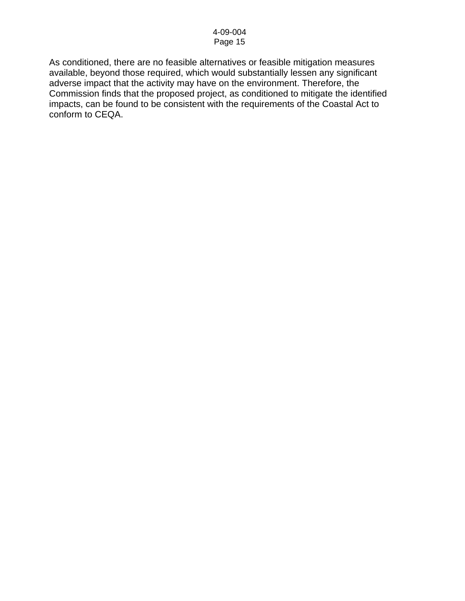As conditioned, there are no feasible alternatives or feasible mitigation measures available, beyond those required, which would substantially lessen any significant adverse impact that the activity may have on the environment. Therefore, the Commission finds that the proposed project, as conditioned to mitigate the identified impacts, can be found to be consistent with the requirements of the Coastal Act to conform to CEQA.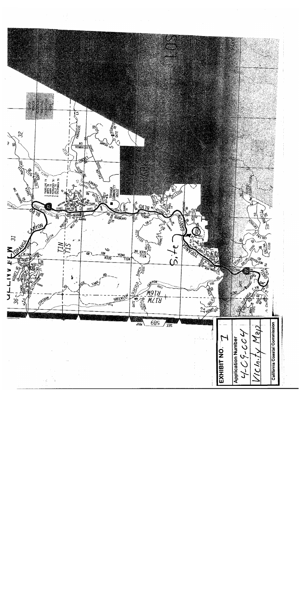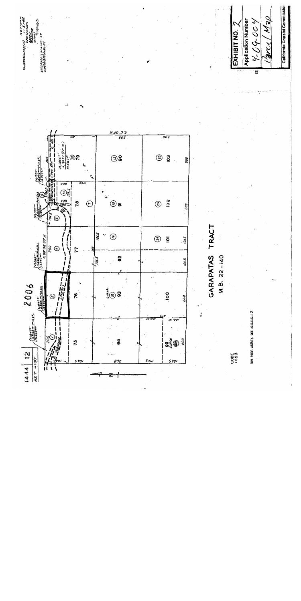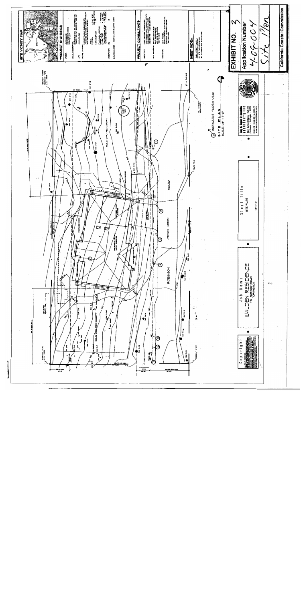